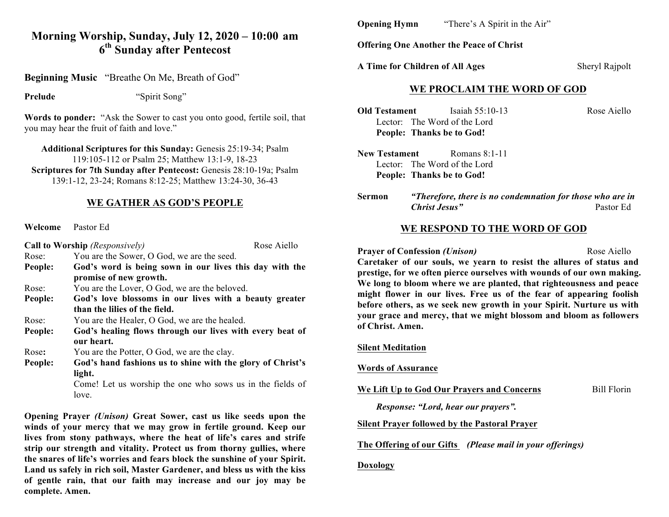## **Morning Worship, Sunday, July 12, 2020 – 10:00 am 6th Sunday after Pentecost**

**Beginning Music** "Breathe On Me, Breath of God"

**Prelude** "Spirit Song"

**Words to ponder:** "Ask the Sower to cast you onto good, fertile soil, that you may hear the fruit of faith and love."

**Additional Scriptures for this Sunday:** Genesis 25:19-34; Psalm 119:105-112 or Psalm 25; Matthew 13:1-9, 18-23 **Scriptures for 7th Sunday after Pentecost:** Genesis 28:10-19a; Psalm 139:1-12, 23-24; Romans 8:12-25; Matthew 13:24-30, 36-43

### **WE GATHER AS GOD'S PEOPLE**

**Welcome** Pastor Ed

| Call to Worship (Responsively) |                                                                        | Rose Aiello |
|--------------------------------|------------------------------------------------------------------------|-------------|
| Rose:                          | You are the Sower, O God, we are the seed.                             |             |
| People:                        | God's word is being sown in our lives this day with the                |             |
|                                | promise of new growth.                                                 |             |
| Rose:                          | You are the Lover, O God, we are the beloved.                          |             |
| People:                        | God's love blossoms in our lives with a beauty greater                 |             |
|                                | than the lilies of the field.                                          |             |
| Rose:                          | You are the Healer, O God, we are the healed.                          |             |
| People:                        | God's healing flows through our lives with every beat of<br>our heart. |             |
| Rose:                          | You are the Potter, O God, we are the clay.                            |             |
| People:                        | God's hand fashions us to shine with the glory of Christ's             |             |
|                                | light.                                                                 |             |
|                                | Come! Let us worship the one who sows us in the fields of              |             |
|                                | love.                                                                  |             |

**Opening Prayer** *(Unison)* **Great Sower, cast us like seeds upon the winds of your mercy that we may grow in fertile ground. Keep our lives from stony pathways, where the heat of life's cares and strife strip our strength and vitality. Protect us from thorny gullies, where the snares of life's worries and fears block the sunshine of your Spirit. Land us safely in rich soil, Master Gardener, and bless us with the kiss of gentle rain, that our faith may increase and our joy may be complete. Amen.**

**Opening Hymn**"There's A Spirit in the Air"

**Offering One Another the Peace of Christ**

**A Time for Children of All Ages** Sheryl Rajpolt

### **WE PROCLAIM THE WORD OF GOD**

**Old Testament** Isaiah 55:10-13 Rose Aiello Lector: The Word of the Lord **People: Thanks be to God!**

**New Testament** Romans 8:1-11 Lector: The Word of the Lord **People: Thanks be to God!**

**Sermon** *"Therefore, there is no condemnation for those who are in Christ Jesus"* Pastor Ed

## **WE RESPOND TO THE WORD OF GOD**

**Prayer of Confession** *(Unison)* Rose Aiello

**Caretaker of our souls, we yearn to resist the allures of status and prestige, for we often pierce ourselves with wounds of our own making. We long to bloom where we are planted, that righteousness and peace might flower in our lives. Free us of the fear of appearing foolish before others, as we seek new growth in your Spirit. Nurture us with your grace and mercy, that we might blossom and bloom as followers of Christ. Amen.** 

#### **Silent Meditation**

#### **Words of Assurance**

We Lift Up to God Our Prayers and Concerns Bill Florin

*Response: "Lord, hear our prayers".*

#### **Silent Prayer followed by the Pastoral Prayer**

**The Offering of our Gifts** *(Please mail in your offerings)*

#### **Doxology**